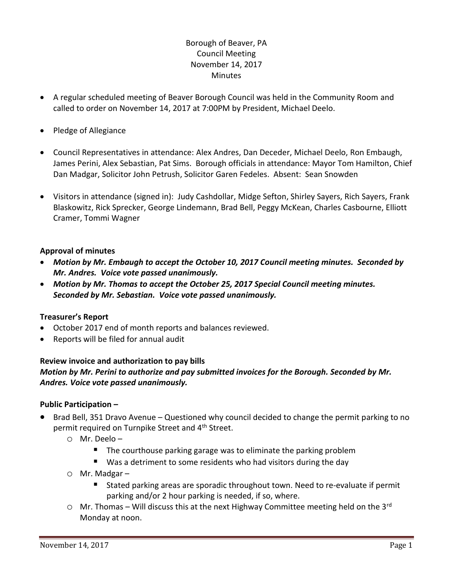# Borough of Beaver, PA Council Meeting November 14, 2017 **Minutes**

- A regular scheduled meeting of Beaver Borough Council was held in the Community Room and called to order on November 14, 2017 at 7:00PM by President, Michael Deelo.
- Pledge of Allegiance
- Council Representatives in attendance: Alex Andres, Dan Deceder, Michael Deelo, Ron Embaugh, James Perini, Alex Sebastian, Pat Sims. Borough officials in attendance: Mayor Tom Hamilton, Chief Dan Madgar, Solicitor John Petrush, Solicitor Garen Fedeles. Absent: Sean Snowden
- Visitors in attendance (signed in): Judy Cashdollar, Midge Sefton, Shirley Sayers, Rich Sayers, Frank Blaskowitz, Rick Sprecker, George Lindemann, Brad Bell, Peggy McKean, Charles Casbourne, Elliott Cramer, Tommi Wagner

# **Approval of minutes**

- *Motion by Mr. Embaugh to accept the October 10, 2017 Council meeting minutes. Seconded by Mr. Andres. Voice vote passed unanimously.*
- *Motion by Mr. Thomas to accept the October 25, 2017 Special Council meeting minutes. Seconded by Mr. Sebastian. Voice vote passed unanimously.*

# **Treasurer's Report**

- October 2017 end of month reports and balances reviewed.
- Reports will be filed for annual audit

# **Review invoice and authorization to pay bills** *Motion by Mr. Perini to authorize and pay submitted invoices for the Borough. Seconded by Mr. Andres. Voice vote passed unanimously.*

# **Public Participation –**

- Brad Bell, 351 Dravo Avenue Questioned why council decided to change the permit parking to no permit required on Turnpike Street and 4<sup>th</sup> Street.
	- o Mr. Deelo
		- **The courthouse parking garage was to eliminate the parking problem**
		- Was a detriment to some residents who had visitors during the day
	- o Mr. Madgar
		- Stated parking areas are sporadic throughout town. Need to re-evaluate if permit parking and/or 2 hour parking is needed, if so, where.
	- $\circ$  Mr. Thomas Will discuss this at the next Highway Committee meeting held on the 3<sup>rd</sup> Monday at noon.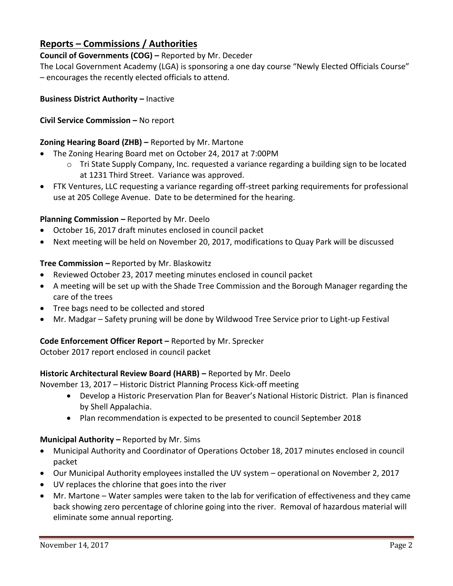# **Reports – Commissions / Authorities**

# **Council of Governments (COG) –** Reported by Mr. Deceder

The Local Government Academy (LGA) is sponsoring a one day course "Newly Elected Officials Course" – encourages the recently elected officials to attend.

# **Business District Authority – Inactive**

# **Civil Service Commission –** No report

# **Zoning Hearing Board (ZHB) –** Reported by Mr. Martone

- The Zoning Hearing Board met on October 24, 2017 at 7:00PM
	- $\circ$  Tri State Supply Company, Inc. requested a variance regarding a building sign to be located at 1231 Third Street. Variance was approved.
- FTK Ventures, LLC requesting a variance regarding off-street parking requirements for professional use at 205 College Avenue. Date to be determined for the hearing.

# **Planning Commission –** Reported by Mr. Deelo

- October 16, 2017 draft minutes enclosed in council packet
- Next meeting will be held on November 20, 2017, modifications to Quay Park will be discussed

# **Tree Commission –** Reported by Mr. Blaskowitz

- Reviewed October 23, 2017 meeting minutes enclosed in council packet
- A meeting will be set up with the Shade Tree Commission and the Borough Manager regarding the care of the trees
- Tree bags need to be collected and stored
- Mr. Madgar Safety pruning will be done by Wildwood Tree Service prior to Light-up Festival

# **Code Enforcement Officer Report –** Reported by Mr. Sprecker

October 2017 report enclosed in council packet

# **Historic Architectural Review Board (HARB) –** Reported by Mr. Deelo

November 13, 2017 – Historic District Planning Process Kick-off meeting

- Develop a Historic Preservation Plan for Beaver's National Historic District. Plan is financed by Shell Appalachia.
- Plan recommendation is expected to be presented to council September 2018

# **Municipal Authority –** Reported by Mr. Sims

- Municipal Authority and Coordinator of Operations October 18, 2017 minutes enclosed in council packet
- Our Municipal Authority employees installed the UV system operational on November 2, 2017
- UV replaces the chlorine that goes into the river
- Mr. Martone Water samples were taken to the lab for verification of effectiveness and they came back showing zero percentage of chlorine going into the river. Removal of hazardous material will eliminate some annual reporting.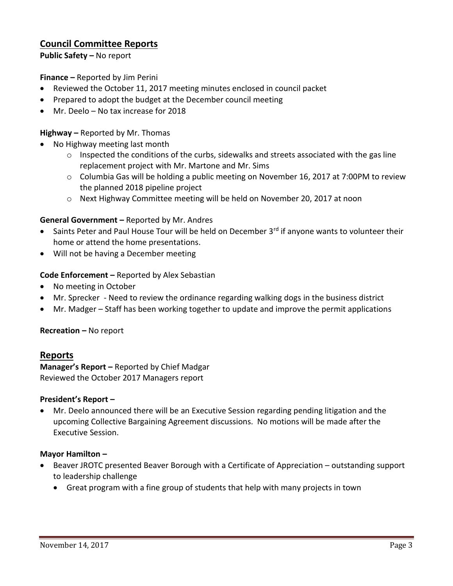# **Council Committee Reports**

**Public Safety –** No report

**Finance –** Reported by Jim Perini

- Reviewed the October 11, 2017 meeting minutes enclosed in council packet
- Prepared to adopt the budget at the December council meeting
- Mr. Deelo No tax increase for 2018

#### **Highway –** Reported by Mr. Thomas

- No Highway meeting last month
	- o Inspected the conditions of the curbs, sidewalks and streets associated with the gas line replacement project with Mr. Martone and Mr. Sims
	- $\circ$  Columbia Gas will be holding a public meeting on November 16, 2017 at 7:00PM to review the planned 2018 pipeline project
	- o Next Highway Committee meeting will be held on November 20, 2017 at noon

#### **General Government –** Reported by Mr. Andres

- Saints Peter and Paul House Tour will be held on December 3<sup>rd</sup> if anyone wants to volunteer their home or attend the home presentations.
- Will not be having a December meeting

#### **Code Enforcement –** Reported by Alex Sebastian

- No meeting in October
- Mr. Sprecker Need to review the ordinance regarding walking dogs in the business district
- Mr. Madger Staff has been working together to update and improve the permit applications

#### **Recreation –** No report

# **Reports**

**Manager's Report –** Reported by Chief Madgar Reviewed the October 2017 Managers report

#### **President's Report –**

 Mr. Deelo announced there will be an Executive Session regarding pending litigation and the upcoming Collective Bargaining Agreement discussions. No motions will be made after the Executive Session.

#### **Mayor Hamilton –**

- Beaver JROTC presented Beaver Borough with a Certificate of Appreciation outstanding support to leadership challenge
	- Great program with a fine group of students that help with many projects in town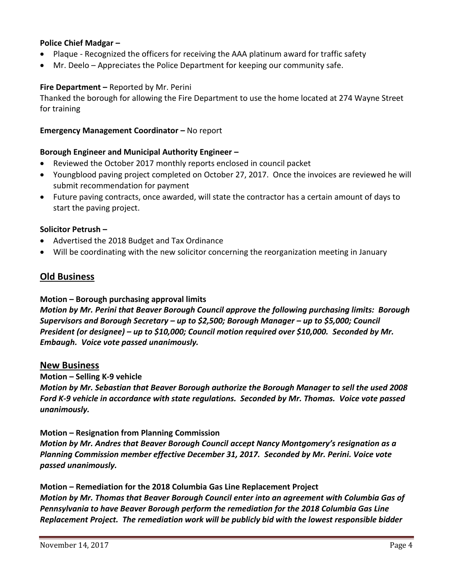# **Police Chief Madgar –**

- Plaque Recognized the officers for receiving the AAA platinum award for traffic safety
- Mr. Deelo Appreciates the Police Department for keeping our community safe.

### **Fire Department –** Reported by Mr. Perini

Thanked the borough for allowing the Fire Department to use the home located at 274 Wayne Street for training

#### **Emergency Management Coordinator - No report**

#### **Borough Engineer and Municipal Authority Engineer –**

- Reviewed the October 2017 monthly reports enclosed in council packet
- Youngblood paving project completed on October 27, 2017. Once the invoices are reviewed he will submit recommendation for payment
- Future paving contracts, once awarded, will state the contractor has a certain amount of days to start the paving project.

#### **Solicitor Petrush –**

- Advertised the 2018 Budget and Tax Ordinance
- Will be coordinating with the new solicitor concerning the reorganization meeting in January

# **Old Business**

#### **Motion – Borough purchasing approval limits**

*Motion by Mr. Perini that Beaver Borough Council approve the following purchasing limits: Borough Supervisors and Borough Secretary – up to \$2,500; Borough Manager – up to \$5,000; Council President (or designee) – up to \$10,000; Council motion required over \$10,000. Seconded by Mr. Embaugh. Voice vote passed unanimously.*

#### **New Business**

**Motion – Selling K-9 vehicle**

*Motion by Mr. Sebastian that Beaver Borough authorize the Borough Manager to sell the used 2008 Ford K-9 vehicle in accordance with state regulations. Seconded by Mr. Thomas. Voice vote passed unanimously.*

#### **Motion – Resignation from Planning Commission**

*Motion by Mr. Andres that Beaver Borough Council accept Nancy Montgomery's resignation as a Planning Commission member effective December 31, 2017. Seconded by Mr. Perini. Voice vote passed unanimously.*

**Motion – Remediation for the 2018 Columbia Gas Line Replacement Project** *Motion by Mr. Thomas that Beaver Borough Council enter into an agreement with Columbia Gas of Pennsylvania to have Beaver Borough perform the remediation for the 2018 Columbia Gas Line Replacement Project. The remediation work will be publicly bid with the lowest responsible bidder*